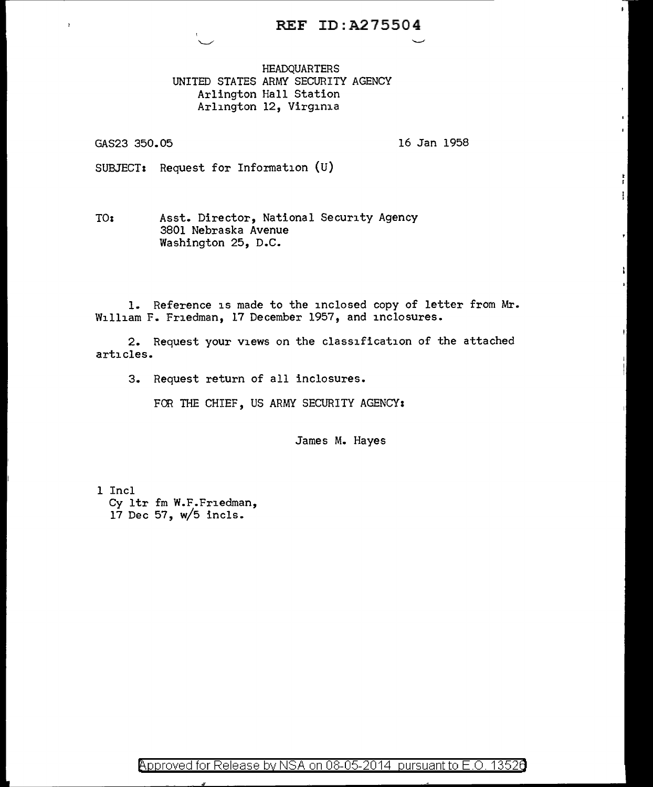## REF ID:A275504

HEADQUARTERS UNITED STATES ARMY SECURITY AGENCY Arlington Hall Station Arlington 12, Virginia

GAS23 350.05

16 Jan 1958

t.

SUBJECT: Request for Information (U)

TOi Asst. Director, National Security Agency 3801 Nebraska Avenue Washington 25, D.C.

1. Reference is made to the inclosed copy of letter from Mr. William F. Friedman, 17 December 1957, and inclosures.

2. Request your views on the classification of the attached articles.

3. Request return of all inclosures.

FOR THE CHIEF, US ARMY SECURITY AGENCY:

James M. Hayes

1 Incl Cy ltr fm W.F.Friedman, 17 Dec 57, w/5 incls.

 $\beta$ pproved for Release by NSA on 08-05-2014 pursuant to E.O. 13526